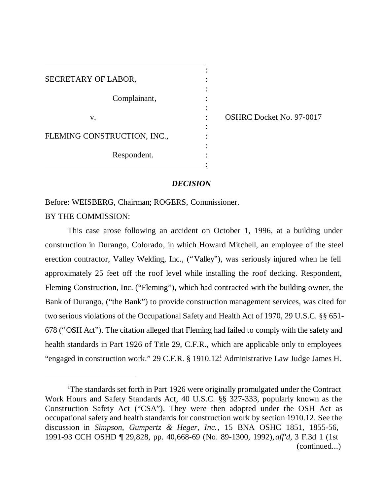| SECRETARY OF LABOR,         |  |
|-----------------------------|--|
|                             |  |
| Complainant,                |  |
| V.                          |  |
| FLEMING CONSTRUCTION, INC., |  |
|                             |  |
| Respondent.                 |  |

OSHRC Docket No. 97-0017

## *DECISION*

:

:

Before: WEISBERG, Chairman; ROGERS, Commissioner.

BY THE COMMISSION:

This case arose following an accident on October 1, 1996, at a building under construction in Durango, Colorado, in which Howard Mitchell, an employee of the steel erection contractor, Valley Welding, Inc., ("Valley"), was seriously injured when he fell approximately 25 feet off the roof level while installing the roof decking. Respondent, Fleming Construction, Inc. ("Fleming"), which had contracted with the building owner, the Bank of Durango, ("the Bank") to provide construction management services, was cited for two serious violations of the Occupational Safety and Health Act of 1970, 29 U.S.C. §§ 651- 678 ("OSH Act"). The citation alleged that Fleming had failed to comply with the safety and health standards in Part 1926 of Title 29, C.F.R., which are applicable only to employees "engaged in construction work." 29 C.F.R. § 1910.12! Administrative Law Judge James H.

<sup>&</sup>lt;sup>1</sup>The standards set forth in Part 1926 were originally promulgated under the Contract Work Hours and Safety Standards Act, 40 U.S.C. §§ 327-333, popularly known as the Construction Safety Act ("CSA"). They were then adopted under the OSH Act as occupational safety and health standards for construction work by section 1910.12. See the discussion in *Simpson, Gumpertz & Heger, Inc.*, 15 BNA OSHC 1851, 1855-56, 1991-93 CCH OSHD ¶ 29,828, pp. 40,668-69 (No. 89-1300, 1992),*aff'd,* 3 F.3d 1 (1st (continued...)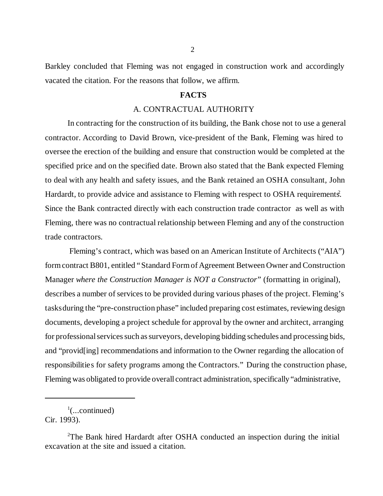Barkley concluded that Fleming was not engaged in construction work and accordingly vacated the citation. For the reasons that follow, we affirm.

## **FACTS**

# A. CONTRACTUAL AUTHORITY

In contracting for the construction of its building, the Bank chose not to use a general contractor. According to David Brown, vice-president of the Bank, Fleming was hired to oversee the erection of the building and ensure that construction would be completed at the specified price and on the specified date. Brown also stated that the Bank expected Fleming to deal with any health and safety issues, and the Bank retained an OSHA consultant, John Hardardt, to provide advice and assistance to Fleming with respect to OSHA requirements. Since the Bank contracted directly with each construction trade contractor as well as with Fleming, there was no contractual relationship between Fleming and any of the construction trade contractors.

 Fleming's contract, which was based on an American Institute of Architects ("AIA") form contract B801, entitled "Standard Form of Agreement Between Owner and Construction Manager *where the Construction Manager is NOT a Constructor*" (formatting in original), describes a number of services to be provided during various phases of the project. Fleming's tasks during the "pre-construction phase" included preparing cost estimates, reviewing design documents, developing a project schedule for approval by the owner and architect, arranging for professional services such as surveyors, developing bidding schedules and processing bids, and "provid[ing] recommendations and information to the Owner regarding the allocation of responsibilities for safety programs among the Contractors." During the construction phase, Fleming was obligated to provide overall contract administration, specifically "administrative,

 $\cdot$ <sup>1</sup>(...continued)

Cir. 1993).

<sup>2</sup>The Bank hired Hardardt after OSHA conducted an inspection during the initial excavation at the site and issued a citation.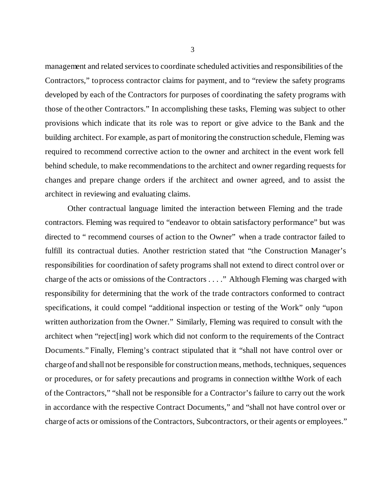management and related services to coordinate scheduled activities and responsibilities of the Contractors," to process contractor claims for payment, and to "review the safety programs developed by each of the Contractors for purposes of coordinating the safety programs with those of the other Contractors." In accomplishing these tasks, Fleming was subject to other provisions which indicate that its role was to report or give advice to the Bank and the building architect. For example, as part of monitoring the construction schedule, Fleming was required to recommend corrective action to the owner and architect in the event work fell behind schedule, to make recommendations to the architect and owner regarding requests for changes and prepare change orders if the architect and owner agreed, and to assist the architect in reviewing and evaluating claims.

Other contractual language limited the interaction between Fleming and the trade contractors. Fleming was required to "endeavor to obtain satisfactory performance" but was directed to " recommend courses of action to the Owner" when a trade contractor failed to fulfill its contractual duties. Another restriction stated that "the Construction Manager's responsibilities for coordination of safety programs shall not extend to direct control over or charge of the acts or omissions of the Contractors . . . ." Although Fleming was charged with responsibility for determining that the work of the trade contractors conformed to contract specifications, it could compel "additional inspection or testing of the Work" only "upon written authorization from the Owner." Similarly, Fleming was required to consult with the architect when "reject[ing] work which did not conform to the requirements of the Contract Documents." Finally, Fleming's contract stipulated that it "shall not have control over or charge of and shall not be responsible for construction means, methods, techniques, sequences or procedures, or for safety precautions and programs in connection with the Work of each of the Contractors," "shall not be responsible for a Contractor's failure to carry out the work in accordance with the respective Contract Documents," and "shall not have control over or charge of acts or omissions of the Contractors, Subcontractors, or their agents or employees."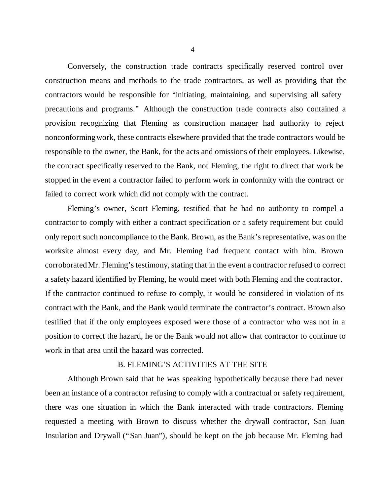Conversely, the construction trade contracts specifically reserved control over construction means and methods to the trade contractors, as well as providing that the contractors would be responsible for "initiating, maintaining, and supervising all safety precautions and programs." Although the construction trade contracts also contained a provision recognizing that Fleming as construction manager had authority to reject nonconforming work, these contracts elsewhere provided that the trade contractors would be responsible to the owner, the Bank, for the acts and omissions of their employees. Likewise, the contract specifically reserved to the Bank, not Fleming, the right to direct that work be stopped in the event a contractor failed to perform work in conformity with the contract or failed to correct work which did not comply with the contract.

Fleming's owner, Scott Fleming, testified that he had no authority to compel a contractor to comply with either a contract specification or a safety requirement but could only report such noncompliance to the Bank. Brown, as the Bank's representative, was on the worksite almost every day, and Mr. Fleming had frequent contact with him. Brown corroborated Mr. Fleming's testimony, stating that in the event a contractor refused to correct a safety hazard identified by Fleming, he would meet with both Fleming and the contractor. If the contractor continued to refuse to comply, it would be considered in violation of its contract with the Bank, and the Bank would terminate the contractor's contract. Brown also testified that if the only employees exposed were those of a contractor who was not in a position to correct the hazard, he or the Bank would not allow that contractor to continue to work in that area until the hazard was corrected.

#### B. FLEMING'S ACTIVITIES AT THE SITE

Although Brown said that he was speaking hypothetically because there had never been an instance of a contractor refusing to comply with a contractual or safety requirement, there was one situation in which the Bank interacted with trade contractors. Fleming requested a meeting with Brown to discuss whether the drywall contractor, San Juan Insulation and Drywall ("San Juan"), should be kept on the job because Mr. Fleming had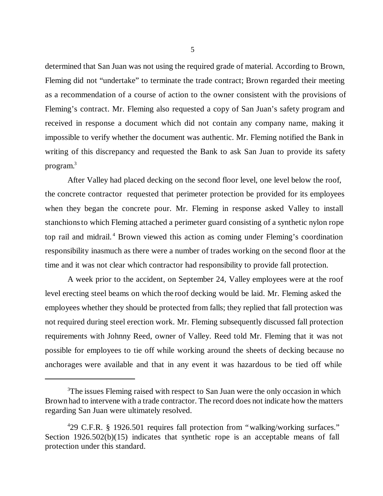determined that San Juan was not using the required grade of material. According to Brown, Fleming did not "undertake" to terminate the trade contract; Brown regarded their meeting as a recommendation of a course of action to the owner consistent with the provisions of Fleming's contract. Mr. Fleming also requested a copy of San Juan's safety program and received in response a document which did not contain any company name, making it impossible to verify whether the document was authentic. Mr. Fleming notified the Bank in writing of this discrepancy and requested the Bank to ask San Juan to provide its safety program.<sup>3</sup>

After Valley had placed decking on the second floor level, one level below the roof, the concrete contractor requested that perimeter protection be provided for its employees when they began the concrete pour. Mr. Fleming in response asked Valley to install stanchions to which Fleming attached a perimeter guard consisting of a synthetic nylon rope top rail and midrail.<sup>4</sup> Brown viewed this action as coming under Fleming's coordination responsibility inasmuch as there were a number of trades working on the second floor at the time and it was not clear which contractor had responsibility to provide fall protection.

A week prior to the accident, on September 24, Valley employees were at the roof level erecting steel beams on which the roof decking would be laid. Mr. Fleming asked the employees whether they should be protected from falls; they replied that fall protection was not required during steel erection work. Mr. Fleming subsequently discussed fall protection requirements with Johnny Reed, owner of Valley. Reed told Mr. Fleming that it was not possible for employees to tie off while working around the sheets of decking because no anchorages were available and that in any event it was hazardous to be tied off while

<sup>&</sup>lt;sup>3</sup>The issues Fleming raised with respect to San Juan were the only occasion in which Brown had to intervene with a trade contractor. The record does not indicate how the matters regarding San Juan were ultimately resolved.

<sup>4</sup> 29 C.F.R. § 1926.501 requires fall protection from "walking/working surfaces." Section 1926.502(b)(15) indicates that synthetic rope is an acceptable means of fall protection under this standard.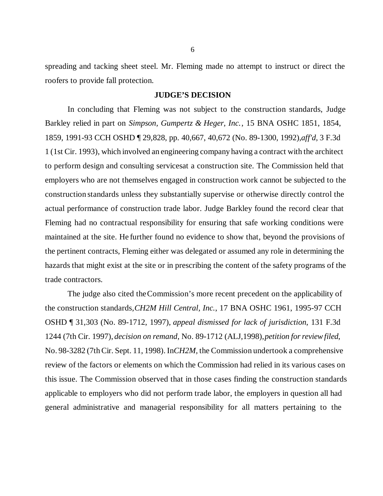spreading and tacking sheet steel. Mr. Fleming made no attempt to instruct or direct the roofers to provide fall protection.

#### **JUDGE'S DECISION**

In concluding that Fleming was not subject to the construction standards, Judge Barkley relied in part on *Simpson, Gumpertz & Heger, Inc.*, 15 BNA OSHC 1851, 1854, 1859, 1991-93 CCH OSHD ¶ 29,828, pp. 40,667, 40,672 (No. 89-1300, 1992), *aff'd,* 3 F.3d 1 (1st Cir. 1993), which involved an engineering company having a contract with the architect to perform design and consulting services at a construction site. The Commission held that employers who are not themselves engaged in construction work cannot be subjected to the construction standards unless they substantially supervise or otherwise directly control the actual performance of construction trade labor. Judge Barkley found the record clear that Fleming had no contractual responsibility for ensuring that safe working conditions were maintained at the site. He further found no evidence to show that, beyond the provisions of the pertinent contracts, Fleming either was delegated or assumed any role in determining the hazards that might exist at the site or in prescribing the content of the safety programs of the trade contractors.

The judge also cited the Commission's more recent precedent on the applicability of the construction standards, *CH2M Hill Central, Inc.*, 17 BNA OSHC 1961, 1995-97 CCH OSHD ¶ 31,303 (No. 89-1712, 1997), *appeal dismissed for lack of jurisdiction*, 131 F.3d 1244 (7th Cir. 1997), *decision on remand*, No. 89-1712 (ALJ,1998), *petition for review filed*, No. 98-3282 (7th Cir. Sept. 11, 1998). In*CH2M,* the Commission undertook a comprehensive review of the factors or elements on which the Commission had relied in its various cases on this issue. The Commission observed that in those cases finding the construction standards applicable to employers who did not perform trade labor, the employers in question all had general administrative and managerial responsibility for all matters pertaining to the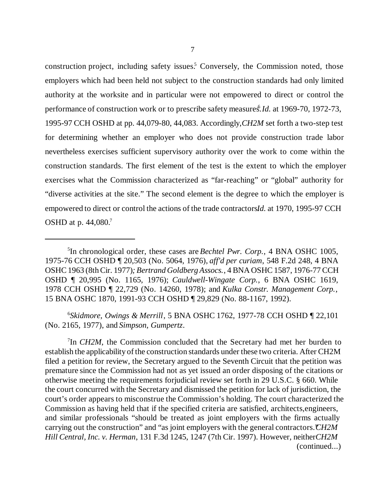construction project, including safety issues.<sup>5</sup> Conversely, the Commission noted, those employers which had been held not subject to the construction standards had only limited authority at the worksite and in particular were not empowered to direct or control the performance of construction work or to prescribe safety measures. *Id.* at 1969-70, 1972-73, 1995-97 CCH OSHD at pp. 44,079-80, 44,083. Accordingly, *CH2M* set forth a two-step test for determining whether an employer who does not provide construction trade labor nevertheless exercises sufficient supervisory authority over the work to come within the construction standards. The first element of the test is the extent to which the employer exercises what the Commission characterized as "far-reaching" or "global" authority for "diverse activities at the site." The second element is the degree to which the employer is empowered to direct or control the actions of the trade contractors*Id*. at 1970, 1995-97 CCH OSHD at p. 44,080.<sup>7</sup>

6 *Skidmore, Owings & Merrill*, 5 BNA OSHC 1762, 1977-78 CCH OSHD ¶ 22,101 (No. 2165, 1977), and *Simpson, Gumpertz*.

<sup>7</sup>In *CH2M*, the Commission concluded that the Secretary had met her burden to establish the applicability of the construction standards under these two criteria. After CH2M filed a petition for review, the Secretary argued to the Seventh Circuit that the petition was premature since the Commission had not as yet issued an order disposing of the citations or otherwise meeting the requirements for judicial review set forth in 29 U.S.C. § 660. While the court concurred with the Secretary and dismissed the petition for lack of jurisdiction, the court's order appears to misconstrue the Commission's holding. The court characterized the Commission as having held that if the specified criteria are satisfied, architects, engineers, and similar professionals "should be treated as joint employers with the firms actually carrying out the construction" and "as joint employers with the general contractors." *CH2M Hill Central, Inc. v. Herman*, 131 F.3d 1245, 1247 (7th Cir. 1997). However, neither *CH2M* (continued...)

<sup>5</sup> In chronological order, these cases are *Bechtel Pwr. Corp.*, 4 BNA OSHC 1005, 1975-76 CCH OSHD ¶ 20,503 (No. 5064, 1976), *aff'd per curiam*, 548 F.2d 248, 4 BNA OSHC 1963 (8th Cir. 1977)*; Bertrand Goldberg Assocs.*, 4 BNA OSHC 1587, 1976-77 CCH OSHD ¶ 20,995 (No. 1165, 1976); *Cauldwell-Wingate Corp.*, 6 BNA OSHC 1619, 1978 CCH OSHD ¶ 22,729 (No. 14260, 1978); and *Kulka Constr. Management Corp.*, 15 BNA OSHC 1870, 1991-93 CCH OSHD ¶ 29,829 (No. 88-1167, 1992).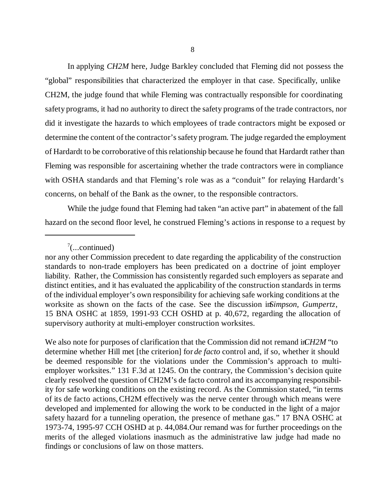In applying *CH2M* here, Judge Barkley concluded that Fleming did not possess the "global" responsibilities that characterized the employer in that case. Specifically, unlike CH2M, the judge found that while Fleming was contractually responsible for coordinating safety programs, it had no authority to direct the safety programs of the trade contractors, nor did it investigate the hazards to which employees of trade contractors might be exposed or determine the content of the contractor's safety program. The judge regarded the employment of Hardardt to be corroborative of this relationship because he found that Hardardt rather than Fleming was responsible for ascertaining whether the trade contractors were in compliance with OSHA standards and that Fleming's role was as a "conduit" for relaying Hardardt's concerns, on behalf of the Bank as the owner, to the responsible contractors.

While the judge found that Fleming had taken "an active part" in abatement of the fall hazard on the second floor level, he construed Fleming's actions in response to a request by

 $7$ (...continued)

nor any other Commission precedent to date regarding the applicability of the construction standards to non-trade employers has been predicated on a doctrine of joint employer liability. Rather, the Commission has consistently regarded such employers as separate and distinct entities, and it has evaluated the applicability of the construction standards in terms of the individual employer's own responsibility for achieving safe working conditions at the worksite as shown on the facts of the case. See the discussion in*Simpson, Gumpertz*, 15 BNA OSHC at 1859, 1991-93 CCH OSHD at p. 40,672, regarding the allocation of supervisory authority at multi-employer construction worksites.

We also note for purposes of clarification that the Commission did not remand in *CH2M* "to determine whether Hill met [the criterion] for *de facto* control and, if so, whether it should be deemed responsible for the violations under the Commission's approach to multiemployer worksites." 131 F.3d at 1245. On the contrary, the Commission's decision quite clearly resolved the question of CH2M's de facto control and its accompanying responsibility for safe working conditions on the existing record. As the Commission stated, "in terms of its de facto actions, CH2M effectively was the nerve center through which means were developed and implemented for allowing the work to be conducted in the light of a major safety hazard for a tunneling operation, the presence of methane gas." 17 BNA OSHC at 1973-74, 1995-97 CCH OSHD at p. 44,084.Our remand was for further proceedings on the merits of the alleged violations inasmuch as the administrative law judge had made no findings or conclusions of law on those matters.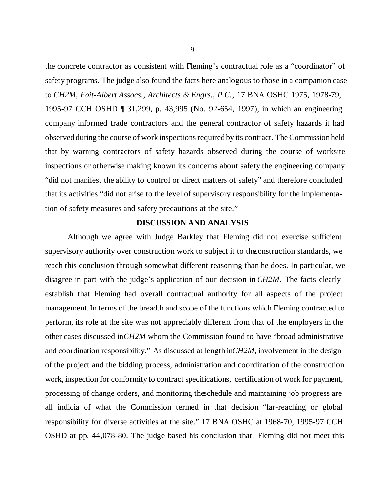the concrete contractor as consistent with Fleming's contractual role as a "coordinator" of safety programs. The judge also found the facts here analogous to those in a companion case to *CH2M*, *Foit-Albert Assocs., Architects & Engrs., P.C.*, 17 BNA OSHC 1975, 1978-79, 1995-97 CCH OSHD ¶ 31,299, p. 43,995 (No. 92-654, 1997), in which an engineering company informed trade contractors and the general contractor of safety hazards it had observed during the course of work inspections required by its contract. The Commission held that by warning contractors of safety hazards observed during the course of worksite inspections or otherwise making known its concerns about safety the engineering company "did not manifest the ability to control or direct matters of safety" and therefore concluded that its activities "did not arise to the level of supervisory responsibility for the implementation of safety measures and safety precautions at the site."

## **DISCUSSION AND ANALYSIS**

Although we agree with Judge Barkley that Fleming did not exercise sufficient supervisory authority over construction work to subject it to the construction standards, we reach this conclusion through somewhat different reasoning than he does. In particular, we disagree in part with the judge's application of our decision in *CH2M*. The facts clearly establish that Fleming had overall contractual authority for all aspects of the project management. In terms of the breadth and scope of the functions which Fleming contracted to perform, its role at the site was not appreciably different from that of the employers in the other cases discussed in *CH2M* whom the Commission found to have "broad administrative and coordination responsibility." As discussed at length in *CH2M*, involvement in the design of the project and the bidding process, administration and coordination of the construction work, inspection for conformity to contract specifications, certification of work for payment, processing of change orders, and monitoring the schedule and maintaining job progress are all indicia of what the Commission termed in that decision "far-reaching or global responsibility for diverse activities at the site." 17 BNA OSHC at 1968-70, 1995-97 CCH OSHD at pp. 44,078-80. The judge based his conclusion that Fleming did not meet this

9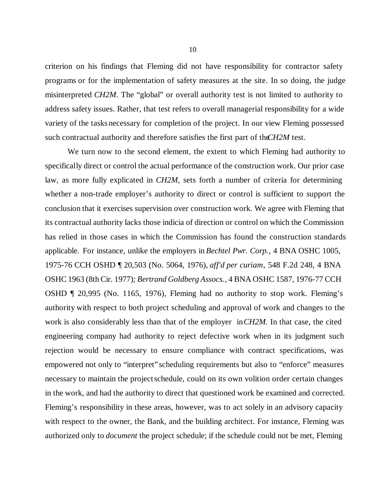criterion on his findings that Fleming did not have responsibility for contractor safety programs or for the implementation of safety measures at the site. In so doing, the judge misinterpreted *CH2M*. The "global" or overall authority test is not limited to authority to address safety issues. Rather, that test refers to overall managerial responsibility for a wide variety of the tasks necessary for completion of the project. In our view Fleming possessed such contractual authority and therefore satisfies the first part of the *CH2M* test.

We turn now to the second element, the extent to which Fleming had authority to specifically direct or control the actual performance of the construction work. Our prior case law, as more fully explicated in *CH2M*, sets forth a number of criteria for determining whether a non-trade employer's authority to direct or control is sufficient to support the conclusion that it exercises supervision over construction work. We agree with Fleming that its contractual authority lacks those indicia of direction or control on which the Commission has relied in those cases in which the Commission has found the construction standards applicable. For instance, unlike the employers in *Bechtel Pwr. Corp.*, 4 BNA OSHC 1005, 1975-76 CCH OSHD ¶ 20,503 (No. 5064, 1976), *aff'd per curiam*, 548 F.2d 248, 4 BNA OSHC 1963 (8th Cir. 1977)*; Bertrand Goldberg Assocs.*, 4 BNA OSHC 1587, 1976-77 CCH OSHD ¶ 20,995 (No. 1165, 1976), Fleming had no authority to stop work. Fleming's authority with respect to both project scheduling and approval of work and changes to the work is also considerably less than that of the employer in *CH2M.* In that case, the cited engineering company had authority to reject defective work when in its judgment such rejection would be necessary to ensure compliance with contract specifications, was empowered not only to "interpret" scheduling requirements but also to "enforce" measures necessary to maintain the project schedule, could on its own volition order certain changes in the work, and had the authority to direct that questioned work be examined and corrected. Fleming's responsibility in these areas, however, was to act solely in an advisory capacity with respect to the owner, the Bank, and the building architect. For instance, Fleming was authorized only to *document* the project schedule; if the schedule could not be met, Fleming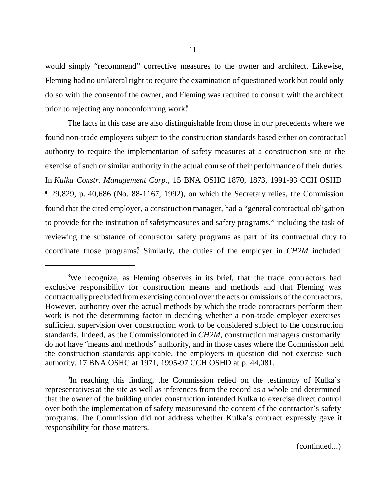would simply "recommend" corrective measures to the owner and architect. Likewise, Fleming had no unilateral right to require the examination of questioned work but could only do so with the consent of the owner, and Fleming was required to consult with the architect prior to rejecting any nonconforming work.<sup>8</sup>

The facts in this case are also distinguishable from those in our precedents where we found non-trade employers subject to the construction standards based either on contractual authority to require the implementation of safety measures at a construction site or the exercise of such or similar authority in the actual course of their performance of their duties. In *Kulka Constr. Management Corp.*, 15 BNA OSHC 1870, 1873, 1991-93 CCH OSHD ¶ 29,829, p. 40,686 (No. 88-1167, 1992), on which the Secretary relies, the Commission found that the cited employer, a construction manager, had a "general contractual obligation to provide for the institution of safety measures and safety programs," including the task of reviewing the substance of contractor safety programs as part of its contractual duty to coordinate those programs.<sup>9</sup> Similarly, the duties of the employer in *CH2M* included

(continued...)

<sup>&</sup>lt;sup>8</sup>We recognize, as Fleming observes in its brief, that the trade contractors had exclusive responsibility for construction means and methods and that Fleming was contractually precluded from exercising control over the acts or omissions of the contractors. However, authority over the actual methods by which the trade contractors perform their work is not the determining factor in deciding whether a non-trade employer exercises sufficient supervision over construction work to be considered subject to the construction standards. Indeed, as the Commission noted in *CH2M*, construction managers customarily do not have "means and methods" authority, and in those cases where the Commission held the construction standards applicable, the employers in question did not exercise such authority. 17 BNA OSHC at 1971, 1995-97 CCH OSHD at p. 44,081.

<sup>9</sup> In reaching this finding, the Commission relied on the testimony of Kulka's representatives at the site as well as inferences from the record as a whole and determined that the owner of the building under construction intended Kulka to exercise direct control over both the implementation of safety measures and the content of the contractor's safety programs. The Commission did not address whether Kulka's contract expressly gave it responsibility for those matters.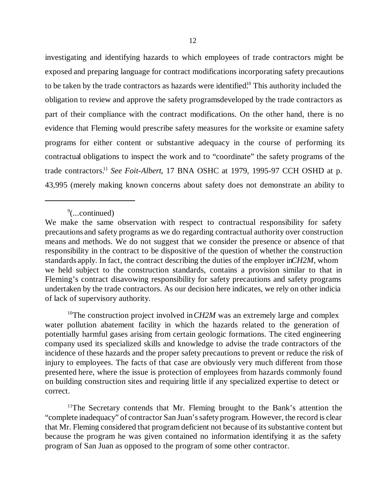investigating and identifying hazards to which employees of trade contractors might be exposed and preparing language for contract modifications incorporating safety precautions to be taken by the trade contractors as hazards were identified.<sup>10</sup> This authority included the obligation to review and approve the safety programs developed by the trade contractors as part of their compliance with the contract modifications. On the other hand, there is no evidence that Fleming would prescribe safety measures for the worksite or examine safety programs for either content or substantive adequacy in the course of performing its contractual obligations to inspect the work and to "coordinate" the safety programs of the trade contractors.<sup>11</sup> *See Foit-Albert*, 17 BNA OSHC at 1979, 1995-97 CCH OSHD at p. 43,995 (merely making known concerns about safety does not demonstrate an ability to

<sup>10</sup>The construction project involved in *CH2M* was an extremely large and complex water pollution abatement facility in which the hazards related to the generation of potentially harmful gases arising from certain geologic formations. The cited engineering company used its specialized skills and knowledge to advise the trade contractors of the incidence of these hazards and the proper safety precautions to prevent or reduce the risk of injury to employees. The facts of that case are obviously very much different from those presented here, where the issue is protection of employees from hazards commonly found on building construction sites and requiring little if any specialized expertise to detect or correct.

<sup>11</sup>The Secretary contends that Mr. Fleming brought to the Bank's attention the "complete inadequacy" of contractor San Juan's safety program. However, the record is clear that Mr. Fleming considered that program deficient not because of its substantive content but because the program he was given contained no information identifying it as the safety program of San Juan as opposed to the program of some other contractor.

<sup>9</sup> (...continued)

We make the same observation with respect to contractual responsibility for safety precautions and safety programs as we do regarding contractual authority over construction means and methods. We do not suggest that we consider the presence or absence of that responsibility in the contract to be dispositive of the question of whether the construction standards apply. In fact, the contract describing the duties of the employer in *CH2M*, whom we held subject to the construction standards, contains a provision similar to that in Fleming's contract disavowing responsibility for safety precautions and safety programs undertaken by the trade contractors. As our decision here indicates, we rely on other indicia of lack of supervisory authority.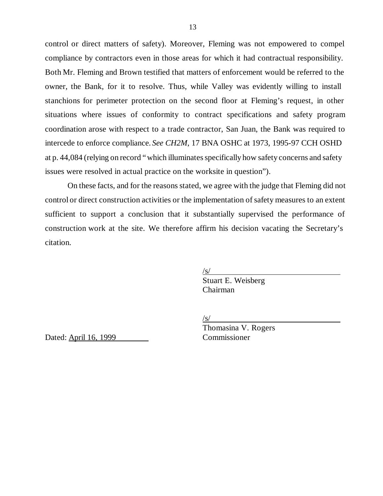control or direct matters of safety). Moreover, Fleming was not empowered to compel compliance by contractors even in those areas for which it had contractual responsibility. Both Mr. Fleming and Brown testified that matters of enforcement would be referred to the owner, the Bank, for it to resolve. Thus, while Valley was evidently willing to install stanchions for perimeter protection on the second floor at Fleming's request, in other situations where issues of conformity to contract specifications and safety program coordination arose with respect to a trade contractor, San Juan, the Bank was required to intercede to enforce compliance. *See CH2M*, 17 BNA OSHC at 1973, 1995-97 CCH OSHD at p. 44,084 (relying on record "which illuminates specifically how safety concerns and safety issues were resolved in actual practice on the worksite in question").

On these facts, and for the reasons stated, we agree with the judge that Fleming did not control or direct construction activities or the implementation of safety measures to an extent sufficient to support a conclusion that it substantially supervised the performance of construction work at the site. We therefore affirm his decision vacating the Secretary's citation.

 $\sqrt{s/2}$ 

Stuart E. Weisberg Chairman

 $\sqrt{s/}$ 

Dated: April 16, 1999 Commissioner

Thomasina V. Rogers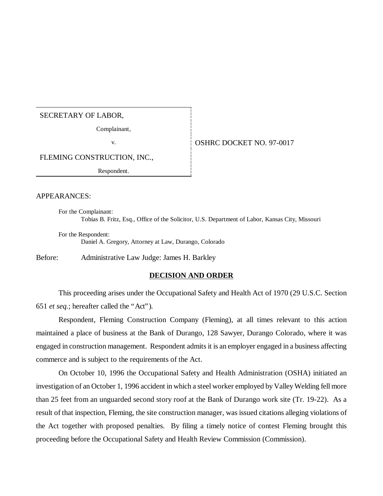#### SECRETARY OF LABOR,

Complainant,

## v. 6. OSHRC DOCKET NO. 97-0017

FLEMING CONSTRUCTION, INC.,

Respondent.

#### APPEARANCES:

For the Complainant: Tobias B. Fritz, Esq., Office of the Solicitor, U.S. Department of Labor, Kansas City, Missouri

For the Respondent: Daniel A. Gregory, Attorney at Law, Durango, Colorado

Before: Administrative Law Judge: James H. Barkley

#### **DECISION AND ORDER**

This proceeding arises under the Occupational Safety and Health Act of 1970 (29 U.S.C. Section 651 *et seq.*; hereafter called the "Act").

Respondent, Fleming Construction Company (Fleming), at all times relevant to this action maintained a place of business at the Bank of Durango, 128 Sawyer, Durango Colorado, where it was engaged in construction management. Respondent admits it is an employer engaged in a business affecting commerce and is subject to the requirements of the Act.

On October 10, 1996 the Occupational Safety and Health Administration (OSHA) initiated an investigation of an October 1, 1996 accident in which a steel worker employed by Valley Welding fell more than 25 feet from an unguarded second story roof at the Bank of Durango work site (Tr. 19-22). As a result of that inspection, Fleming, the site construction manager, was issued citations alleging violations of the Act together with proposed penalties. By filing a timely notice of contest Fleming brought this proceeding before the Occupational Safety and Health Review Commission (Commission).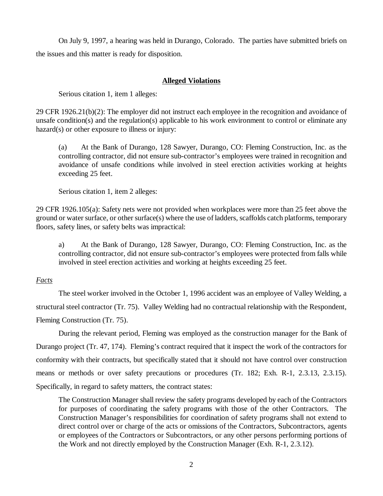On July 9, 1997, a hearing was held in Durango, Colorado. The parties have submitted briefs on the issues and this matter is ready for disposition.

# **Alleged Violations**

Serious citation 1, item 1 alleges:

29 CFR 1926.21(b)(2): The employer did not instruct each employee in the recognition and avoidance of unsafe condition(s) and the regulation(s) applicable to his work environment to control or eliminate any hazard(s) or other exposure to illness or injury:

(a) At the Bank of Durango, 128 Sawyer, Durango, CO: Fleming Construction, Inc. as the controlling contractor, did not ensure sub-contractor's employees were trained in recognition and avoidance of unsafe conditions while involved in steel erection activities working at heights exceeding 25 feet.

Serious citation 1, item 2 alleges:

29 CFR 1926.105(a): Safety nets were not provided when workplaces were more than 25 feet above the ground or water surface, or other surface(s) where the use of ladders, scaffolds catch platforms, temporary floors, safety lines, or safety belts was impractical:

a) At the Bank of Durango, 128 Sawyer, Durango, CO: Fleming Construction, Inc. as the controlling contractor, did not ensure sub-contractor's employees were protected from falls while involved in steel erection activities and working at heights exceeding 25 feet.

## *Facts*

The steel worker involved in the October 1, 1996 accident was an employee of Valley Welding, a structural steel contractor (Tr. 75). Valley Welding had no contractual relationship with the Respondent, Fleming Construction (Tr. 75).

During the relevant period, Fleming was employed as the construction manager for the Bank of Durango project (Tr. 47, 174). Fleming's contract required that it inspect the work of the contractors for conformity with their contracts, but specifically stated that it should not have control over construction means or methods or over safety precautions or procedures (Tr. 182; Exh. R-1, 2.3.13, 2.3.15). Specifically, in regard to safety matters, the contract states:

The Construction Manager shall review the safety programs developed by each of the Contractors for purposes of coordinating the safety programs with those of the other Contractors. The Construction Manager's responsibilities for coordination of safety programs shall not extend to direct control over or charge of the acts or omissions of the Contractors, Subcontractors, agents or employees of the Contractors or Subcontractors, or any other persons performing portions of the Work and not directly employed by the Construction Manager (Exh. R-1, 2.3.12).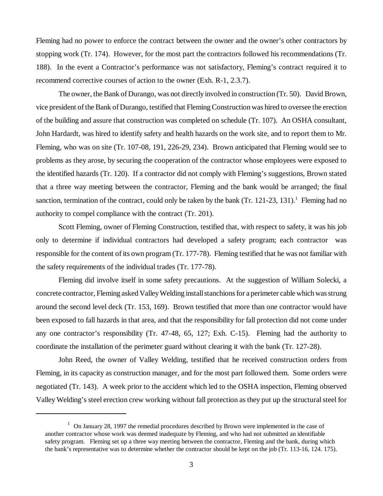Fleming had no power to enforce the contract between the owner and the owner's other contractors by stopping work (Tr. 174). However, for the most part the contractors followed his recommendations (Tr. 188). In the event a Contractor's performance was not satisfactory, Fleming's contract required it to recommend corrective courses of action to the owner (Exh. R-1, 2.3.7).

The owner, the Bank of Durango, was not directly involved in construction (Tr. 50). David Brown, vice president of the Bank of Durango, testified that Fleming Construction was hired to oversee the erection of the building and assure that construction was completed on schedule (Tr. 107). An OSHA consultant, John Hardardt, was hired to identify safety and health hazards on the work site, and to report them to Mr. Fleming, who was on site (Tr. 107-08, 191, 226-29, 234). Brown anticipated that Fleming would see to problems as they arose, by securing the cooperation of the contractor whose employees were exposed to the identified hazards (Tr. 120). If a contractor did not comply with Fleming's suggestions, Brown stated that a three way meeting between the contractor, Fleming and the bank would be arranged; the final sanction, termination of the contract, could only be taken by the bank (Tr. 121-23, 131).<sup>1</sup> Fleming had no authority to compel compliance with the contract (Tr. 201).

Scott Fleming, owner of Fleming Construction, testified that, with respect to safety, it was his job only to determine if individual contractors had developed a safety program; each contractor was responsible for the content of its own program (Tr. 177-78). Fleming testified that he was not familiar with the safety requirements of the individual trades (Tr. 177-78).

Fleming did involve itself in some safety precautions. At the suggestion of William Solecki, a concrete contractor, Fleming asked Valley Welding install stanchions for a perimeter cable which was strung around the second level deck (Tr. 153, 169). Brown testified that more than one contractor would have been exposed to fall hazards in that area, and that the responsibility for fall protection did not come under any one contractor's responsibility (Tr. 47-48, 65, 127; Exh. C-15). Fleming had the authority to coordinate the installation of the perimeter guard without clearing it with the bank (Tr. 127-28).

John Reed, the owner of Valley Welding, testified that he received construction orders from Fleming, in its capacity as construction manager, and for the most part followed them. Some orders were negotiated (Tr. 143). A week prior to the accident which led to the OSHA inspection, Fleming observed Valley Welding's steel erection crew working without fall protection as they put up the structural steel for

<sup>&</sup>lt;sup>1</sup> On January 28, 1997 the remedial procedures described by Brown were implemented in the case of another contractor whose work was deemed inadequate by Fleming, and who had not submitted an identifiable safety program. Fleming set up a three way meeting between the contractor, Fleming and the bank, during which the bank's representative was to determine whether the contractor should be kept on the job (Tr. 113-16, 124. 175).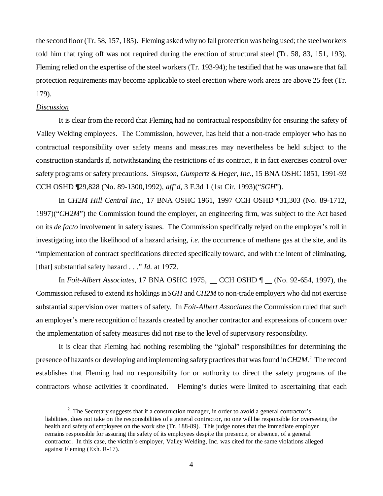the second floor (Tr. 58, 157, 185). Fleming asked why no fall protection was being used; the steel workers told him that tying off was not required during the erection of structural steel (Tr. 58, 83, 151, 193). Fleming relied on the expertise of the steel workers (Tr. 193-94); he testified that he was unaware that fall protection requirements may become applicable to steel erection where work areas are above 25 feet (Tr. 179).

#### *Discussion*

It is clear from the record that Fleming had no contractual responsibility for ensuring the safety of Valley Welding employees. The Commission, however, has held that a non-trade employer who has no contractual responsibility over safety means and measures may nevertheless be held subject to the construction standards if, notwithstanding the restrictions of its contract, it in fact exercises control over safety programs or safety precautions. *Simpson, Gumpertz & Heger, Inc.,* 15 BNA OSHC 1851, 1991-93 CCH OSHD ¶29,828 (No. 89-1300,1992), *aff'd*, 3 F.3d 1 (1st Cir. 1993)("*SGH*").

In *CH2M Hill Central Inc.*, 17 BNA OSHC 1961, 1997 CCH OSHD ¶31,303 (No. 89-1712, 1997)("*CH2M*") the Commission found the employer, an engineering firm, was subject to the Act based on its *de facto* involvement in safety issues. The Commission specifically relyed on the employer's roll in investigating into the likelihood of a hazard arising, *i.e.* the occurrence of methane gas at the site, and its "implementation of contract specifications directed specifically toward, and with the intent of eliminating, [that] substantial safety hazard . . ." *Id.* at 1972.

In *Foit-Albert Associates*, 17 BNA OSHC 1975, CCH OSHD ¶ (No. 92-654, 1997), the Commission refused to extend its holdings in *SGH* and *CH2M* to non-trade employers who did not exercise substantial supervision over matters of safety. In *Foit-Albert Associates* the Commission ruled that such an employer's mere recognition of hazards created by another contractor and expressions of concern over the implementation of safety measures did not rise to the level of supervisory responsibility.

It is clear that Fleming had nothing resembling the "global" responsibilities for determining the presence of hazards or developing and implementing safety practices that was found in *CH2M.*<sup>2</sup> The record establishes that Fleming had no responsibility for or authority to direct the safety programs of the contractors whose activities it coordinated. Fleming's duties were limited to ascertaining that each

<sup>&</sup>lt;sup>2</sup> The Secretary suggests that if a construction manager, in order to avoid a general contractor's liabilities, does not take on the responsibilities of a general contractor, no one will be responsible for overseeing the health and safety of employees on the work site (Tr. 188-89). This judge notes that the immediate employer remains responsible for assuring the safety of its employees despite the presence, or absence, of a general contractor. In this case, the victim's employer, Valley Welding, Inc. was cited for the same violations alleged against Fleming (Exh. R-17).